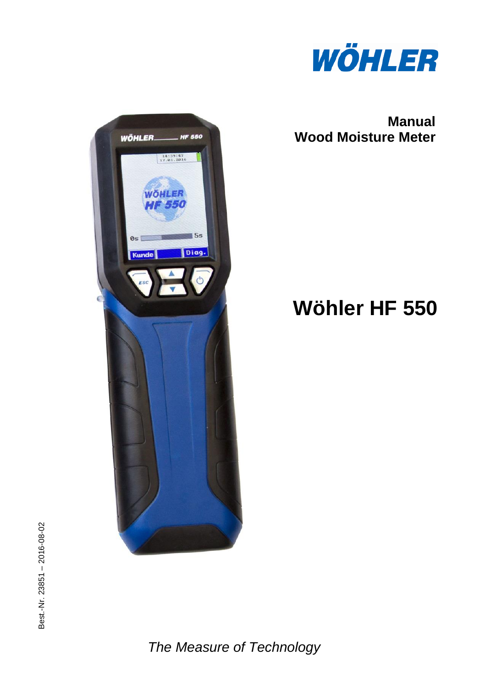

**Manual Wood Moisture Meter**

# **Wöhler HF 550**



*The Measure of Technology*

WÖHLER.

Kunde

**HF 550** 

 $5s$ Diag.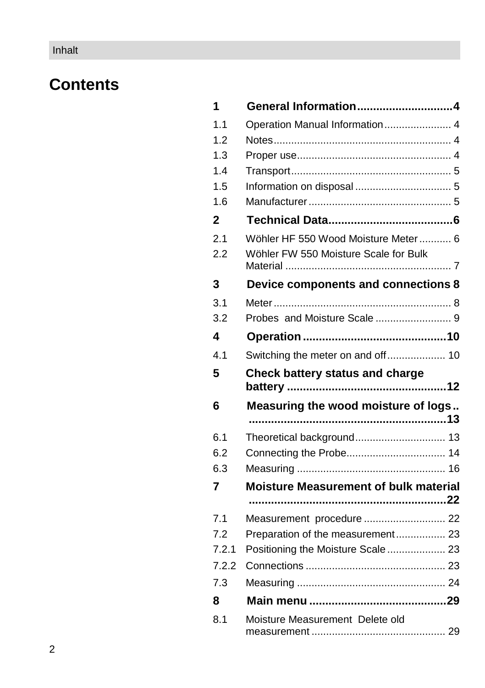# **Contents**

| 1            | General Information4                         |  |
|--------------|----------------------------------------------|--|
| 1.1          | Operation Manual Information 4               |  |
| 1.2          |                                              |  |
| 1.3          |                                              |  |
| 1.4          |                                              |  |
| 1.5          |                                              |  |
| 1.6          |                                              |  |
| $\mathbf{2}$ |                                              |  |
| 2.1          | Wöhler HF 550 Wood Moisture Meter  6         |  |
| 2.2          | Wöhler FW 550 Moisture Scale for Bulk        |  |
| 3            | Device components and connections 8          |  |
| 3.1          |                                              |  |
| 3.2          |                                              |  |
| 4            |                                              |  |
| 4.1          | Switching the meter on and off 10            |  |
| 5            | Check battery status and charge              |  |
| 6            | Measuring the wood moisture of logs          |  |
|              |                                              |  |
| 6.1          |                                              |  |
| 6.2          |                                              |  |
| 6.3          |                                              |  |
| 7            | <b>Moisture Measurement of bulk material</b> |  |
|              |                                              |  |
| 7.1          | Measurement procedure  22                    |  |
| 7.2          | Preparation of the measurement 23            |  |
| 7.2.1        | Positioning the Moisture Scale  23           |  |
| 7.2.2        |                                              |  |
| 7.3          |                                              |  |
| 8            |                                              |  |
| 8.1          | Moisture Measurement Delete old              |  |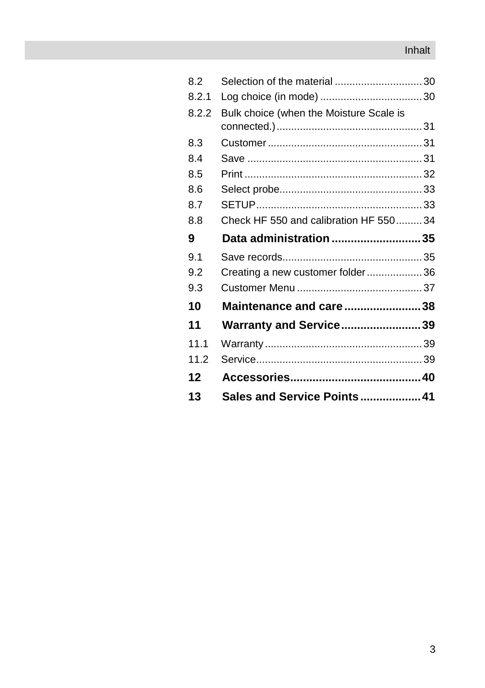## Inhalt

| 8.2   | Selection of the material 30            |  |
|-------|-----------------------------------------|--|
| 8.2.1 |                                         |  |
| 8.2.2 | Bulk choice (when the Moisture Scale is |  |
|       |                                         |  |
| 8.3   |                                         |  |
| 8.4   |                                         |  |
| 8.5   |                                         |  |
| 8.6   |                                         |  |
| 8.7   |                                         |  |
| 8.8   | Check HF 550 and calibration HF 55034   |  |
| 9     | Data administration 35                  |  |
| 9.1   |                                         |  |
| 9.2   | Creating a new customer folder36        |  |
| 9.3   |                                         |  |
| 10    | Maintenance and care38                  |  |
| 11    | <b>Warranty and Service39</b>           |  |
| 11.1  |                                         |  |
| 11.2  |                                         |  |
| 12    |                                         |  |
| 13    | Sales and Service Points 41             |  |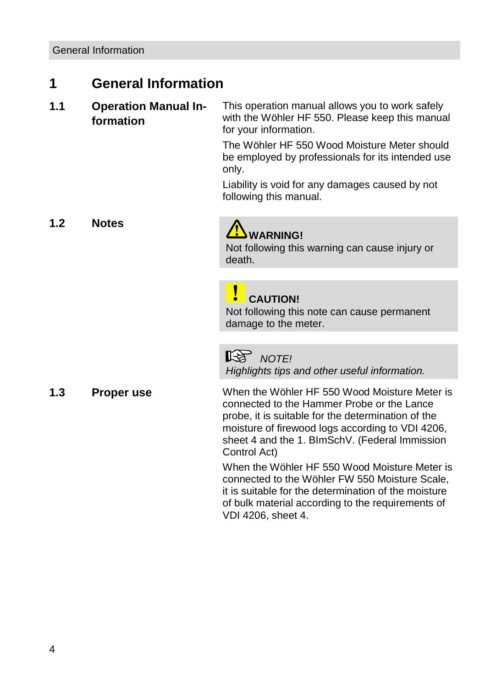# <span id="page-3-0"></span>**1 General Information**

<span id="page-3-1"></span>**1.1 Operation Manual Information** This operation manual allows you to work safely with the Wöhler HF 550. Please keep this manual for your information.

> The Wöhler HF 550 Wood Moisture Meter should be employed by professionals for its intended use only.

Liability is void for any damages caused by not following this manual.

<span id="page-3-2"></span>**1.2 Notes**

# **WARNING!**

Not following this warning can cause injury or death.

## **CAUTION!**

Not following this note can cause permanent damage to the meter.

*NOTE!*

*Highlights tips and other useful information.*

<span id="page-3-3"></span>**1.3 Proper use** When the Wöhler HF 550 Wood Moisture Meter is connected to the Hammer Probe or the Lance probe, it is suitable for the determination of the moisture of firewood logs according to VDI 4206, sheet 4 and the 1. BImSchV. (Federal Immission Control Act)

> When the Wöhler HF 550 Wood Moisture Meter is connected to the Wöhler FW 550 Moisture Scale, it is suitable for the determination of the moisture of bulk material according to the requirements of VDI 4206, sheet 4.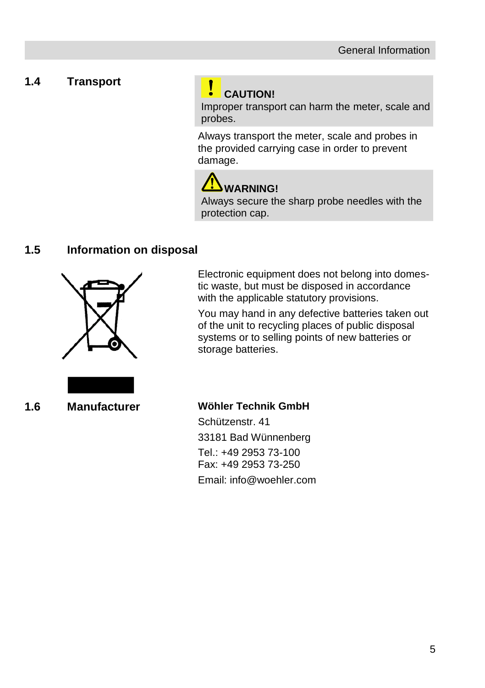### <span id="page-4-0"></span>**1.4 Transport**

# **CAUTION!**

Improper transport can harm the meter, scale and probes.

Always transport the meter, scale and probes in the provided carrying case in order to prevent damage.

# **WARNING!**

Always secure the sharp probe needles with the protection cap.

### <span id="page-4-1"></span>**1.5 Information on disposal**



Electronic equipment does not belong into domestic waste, but must be disposed in accordance with the applicable statutory provisions.

You may hand in any defective batteries taken out of the unit to recycling places of public disposal systems or to selling points of new batteries or storage batteries.



#### <span id="page-4-2"></span>**1.6 Manufacturer Wöhler Technik GmbH**

Schützenstr. 41 33181 Bad Wünnenberg Tel.: +49 2953 73-100 Fax: +49 2953 73-250 Email: info@woehler.com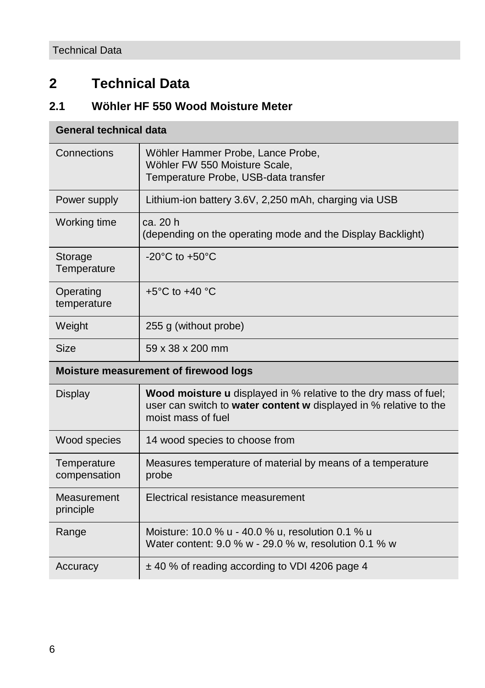# <span id="page-5-0"></span>**2 Technical Data**

# <span id="page-5-1"></span>**2.1 Wöhler HF 550 Wood Moisture Meter**

# **General technical data**

| Connections                 | Wöhler Hammer Probe, Lance Probe,<br>Wöhler FW 550 Moisture Scale,<br>Temperature Probe, USB-data transfer                                                         |
|-----------------------------|--------------------------------------------------------------------------------------------------------------------------------------------------------------------|
| Power supply                | Lithium-ion battery 3.6V, 2,250 mAh, charging via USB                                                                                                              |
| Working time                | ca. 20 h<br>(depending on the operating mode and the Display Backlight)                                                                                            |
| Storage<br>Temperature      | $-20^{\circ}$ C to $+50^{\circ}$ C                                                                                                                                 |
| Operating<br>temperature    | +5 $^{\circ}$ C to +40 $^{\circ}$ C                                                                                                                                |
| Weight                      | 255 g (without probe)                                                                                                                                              |
| <b>Size</b>                 | 59 x 38 x 200 mm                                                                                                                                                   |
|                             |                                                                                                                                                                    |
|                             | Moisture measurement of firewood logs                                                                                                                              |
| Display                     | <b>Wood moisture u</b> displayed in % relative to the dry mass of fuel;<br>user can switch to water content w displayed in % relative to the<br>moist mass of fuel |
| Wood species                | 14 wood species to choose from                                                                                                                                     |
| Temperature<br>compensation | Measures temperature of material by means of a temperature<br>probe                                                                                                |
| Measurement<br>principle    | Electrical resistance measurement                                                                                                                                  |
| Range                       | Moisture: 10.0 % u - 40.0 % u, resolution 0.1 % u<br>Water content: 9.0 % w - 29.0 % w, resolution 0.1 % w                                                         |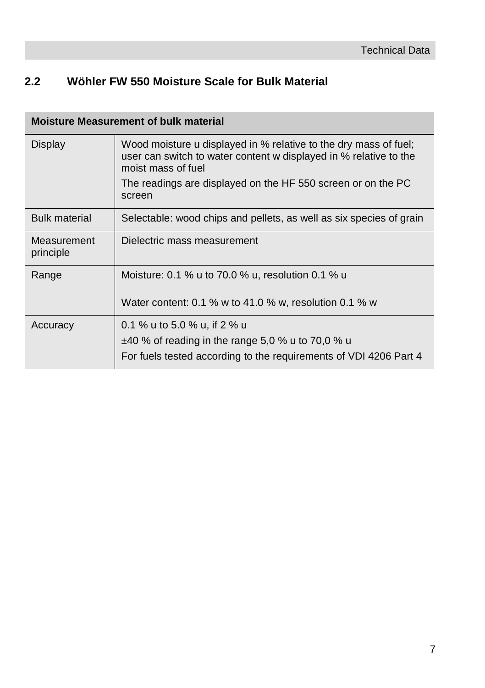# <span id="page-6-0"></span>**2.2 Wöhler FW 550 Moisture Scale for Bulk Material**

|                          | <b>Moisture Measurement of bulk material</b>                                                                                                                |
|--------------------------|-------------------------------------------------------------------------------------------------------------------------------------------------------------|
| Display                  | Wood moisture u displayed in % relative to the dry mass of fuel;<br>user can switch to water content w displayed in % relative to the<br>moist mass of fuel |
|                          | The readings are displayed on the HF 550 screen or on the PC<br>screen                                                                                      |
| <b>Bulk material</b>     | Selectable: wood chips and pellets, as well as six species of grain                                                                                         |
| Measurement<br>principle | Dielectric mass measurement                                                                                                                                 |
| Range                    | Moisture: 0.1 % u to 70.0 % u, resolution 0.1 % u                                                                                                           |
|                          | Water content: 0.1 % w to 41.0 % w, resolution 0.1 % w                                                                                                      |
| Accuracy                 | 0.1 % u to 5.0 % u, if 2 % u<br>$\pm$ 40 % of reading in the range 5,0 % u to 70,0 % u<br>For fuels tested according to the requirements of VDI 4206 Part 4 |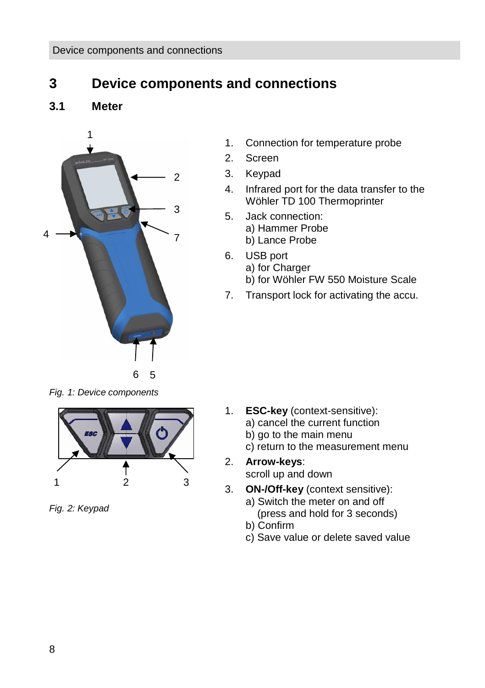# <span id="page-7-0"></span>**3 Device components and connections**

<span id="page-7-1"></span>**3.1 Meter**



- 1. Connection for temperature probe
- 2. Screen
- 3. Keypad
- 4. Infrared port for the data transfer to the Wöhler TD 100 Thermoprinter
- 5. Jack connection:
	- a) Hammer Probe
	- b) Lance Probe
	- 6. USB port
		- a) for Charger
		- b) for Wöhler FW 550 Moisture Scale
	- 7. Transport lock for activating the accu.

*Fig. 1: Device components*



*Fig. 2: Keypad*

- 1. **ESC-key** (context-sensitive):
	- a) cancel the current function
	- b) go to the main menu
	- c) return to the measurement menu
- 2. **Arrow-keys**: scroll up and down
- 3. **ON-/Off-key** (context sensitive):
	- a) Switch the meter on and off (press and hold for 3 seconds)
	- b) Confirm
	- c) Save value or delete saved value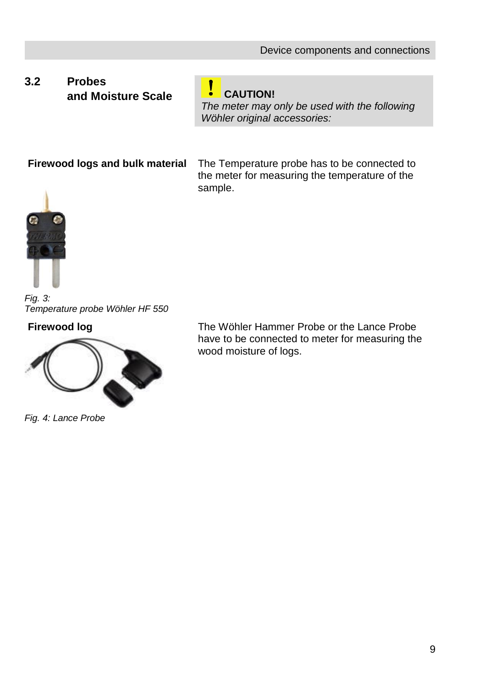## <span id="page-8-0"></span>**3.2 Probes and Moisture Scale CAUTION!**

*The meter may only be used with the following Wöhler original accessories:*

**Firewood logs and bulk material**

The Temperature probe has to be connected to the meter for measuring the temperature of the sample.



*Fig. 3: Temperature probe Wöhler HF 550* 

#### **Firewood log**



*Fig. 4: Lance Probe*

The Wöhler Hammer Probe or the Lance Probe have to be connected to meter for measuring the wood moisture of logs.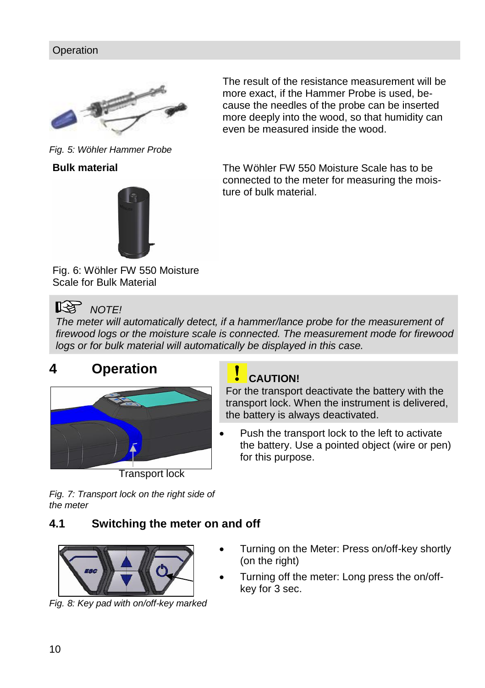

*Fig. 5: Wöhler Hammer Probe*





The result of the resistance measurement will be more exact, if the Hammer Probe is used, because the needles of the probe can be inserted more deeply into the wood, so that humidity can even be measured inside the wood.

The Wöhler FW 550 Moisture Scale has to be connected to the meter for measuring the moisture of bulk material.

Fig. 6: Wöhler FW 550 Moisture Scale for Bulk Material

# **NOTE!**

*The meter will automatically detect, if a hammer/lance probe for the measurement of firewood logs or the moisture scale is connected. The measurement mode for firewood logs or for bulk material will automatically be displayed in this case.*

# <span id="page-9-0"></span>**4 Operation**



Transport lock

### **CAUTION!**

For the transport deactivate the battery with the transport lock. When the instrument is delivered, the battery is always deactivated.

 Push the transport lock to the left to activate the battery. Use a pointed object (wire or pen) for this purpose.

*Fig. 7: Transport lock on the right side of the meter*

## <span id="page-9-1"></span>**4.1 Switching the meter on and off**



*Fig. 8: Key pad with on/off-key marked*

- Turning on the Meter: Press on/off-key shortly (on the right)
- Turning off the meter: Long press the on/offkey for 3 sec.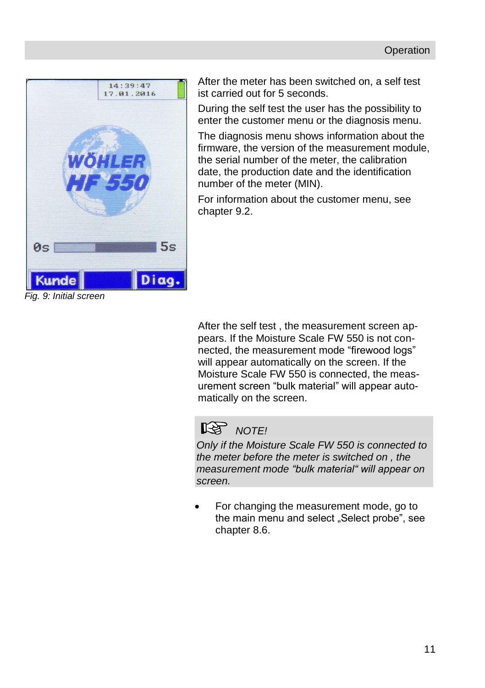

After the meter has been switched on, a self test ist carried out for 5 seconds.

During the self test the user has the possibility to enter the customer menu or the diagnosis menu.

The diagnosis menu shows information about the firmware, the version of the measurement module, the serial number of the meter, the calibration date, the production date and the identification number of the meter (MIN).

For information about the customer menu, see chapter [9.2.](#page-35-0)

After the self test , the measurement screen appears. If the Moisture Scale FW 550 is not connected, the measurement mode "firewood logs" will appear automatically on the screen. If the Moisture Scale FW 550 is connected, the measurement screen "bulk material" will appear automatically on the screen.

# **NOTE!**

*Only if the Moisture Scale FW 550 is connected to the meter before the meter is switched on , the measurement mode "bulk material" will appear on screen.* 

 For changing the measurement mode, go to the main menu and select "Select probe", see chapter [8.6.](#page-32-0)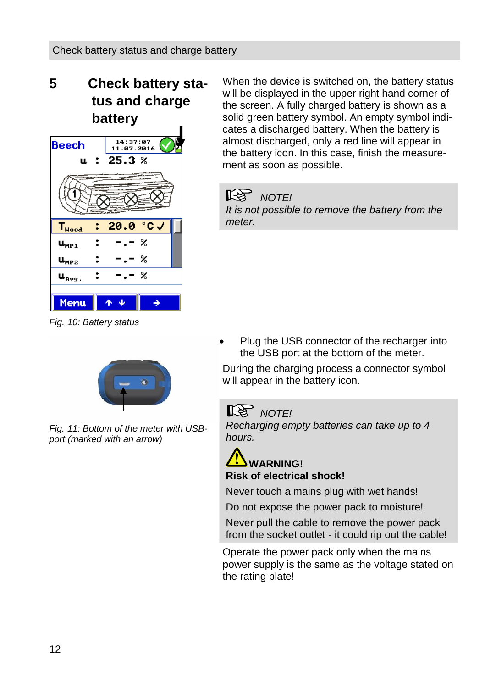# <span id="page-11-0"></span>**5 Check battery status and charge battery**



*Fig. 10: Battery status* 

When the device is switched on, the battery status will be displayed in the upper right hand corner of the screen. A fully charged battery is shown as a solid green battery symbol. An empty symbol indicates a discharged battery. When the battery is almost discharged, only a red line will appear in the battery icon. In this case, finish the measurement as soon as possible.

#### ĽZ *NOTE!*

*It is not possible to remove the battery from the meter.* 

 Plug the USB connector of the recharger into the USB port at the bottom of the meter.

During the charging process a connector symbol will appear in the battery icon.

# $R$  *NOTE!*

*Recharging empty batteries can take up to 4 hours.* 

# **WARNING! Risk of electrical shock!**

Never touch a mains plug with wet hands! Do not expose the power pack to moisture!

Never pull the cable to remove the power pack from the socket outlet - it could rip out the cable!

Operate the power pack only when the mains power supply is the same as the voltage stated on the rating plate!



*Fig. 11: Bottom of the meter with USBport (marked with an arrow)*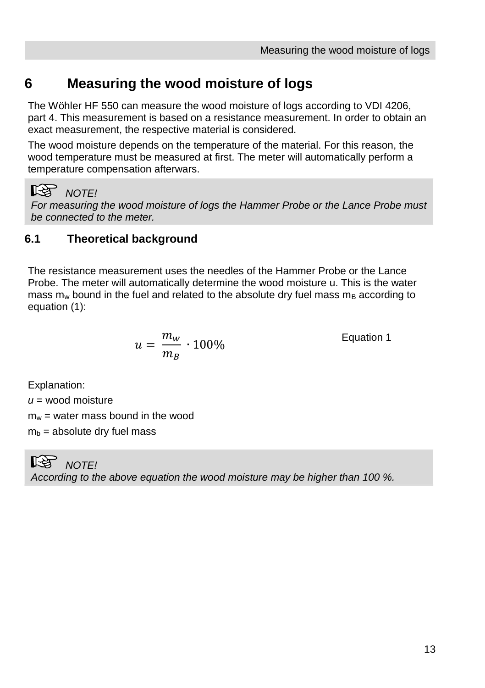# <span id="page-12-0"></span>**6 Measuring the wood moisture of logs**

The Wöhler HF 550 can measure the wood moisture of logs according to VDI 4206, part 4. This measurement is based on a resistance measurement. In order to obtain an exact measurement, the respective material is considered.

The wood moisture depends on the temperature of the material. For this reason, the wood temperature must be measured at first. The meter will automatically perform a temperature compensation afterwars.

# *NOTE!*

*For measuring the wood moisture of logs the Hammer Probe or the Lance Probe must be connected to the meter.* 

## <span id="page-12-1"></span>**6.1 Theoretical background**

The resistance measurement uses the needles of the Hammer Probe or the Lance Probe. The meter will automatically determine the wood moisture u. This is the water mass  $m_w$  bound in the fuel and related to the absolute dry fuel mass  $m_B$  according to equation (1):

$$
u=\frac{m_w}{m_B}\cdot 100\%
$$

Equation 1

Explanation:

 $u =$  wood moisture

 $m_w$  = water mass bound in the wood

 $m_b$  = absolute dry fuel mass

⊮िक्ष *NOTE! According to the above equation the wood moisture may be higher than 100 %.*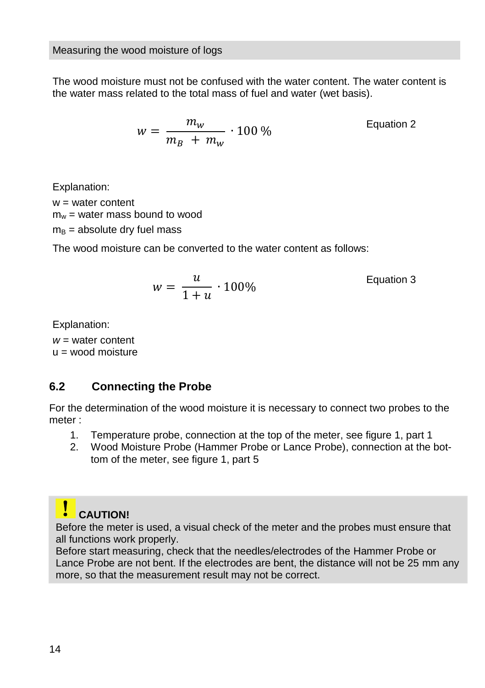The wood moisture must not be confused with the water content. The water content is the water mass related to the total mass of fuel and water (wet basis).

$$
w = \frac{m_w}{m_B + m_w} \cdot 100\,\%
$$
 Equation 2

Explanation:

 $w =$  water content  $m_w$  = water mass bound to wood  $m<sub>B</sub>$  = absolute dry fuel mass

The wood moisture can be converted to the water content as follows:

$$
w = \frac{u}{1+u} \cdot 100\%
$$
 Equation 3

Explanation:

*w* = water content  $u =$  wood moisture

### <span id="page-13-0"></span>**6.2 Connecting the Probe**

For the determination of the wood moisture it is necessary to connect two probes to the meter :

- 1. Temperature probe, connection at the top of the meter, see figure 1, part 1
- 2. Wood Moisture Probe (Hammer Probe or Lance Probe), connection at the bottom of the meter, see figure 1, part 5

# **CAUTION!**

Before the meter is used, a visual check of the meter and the probes must ensure that all functions work properly.

Before start measuring, check that the needles/electrodes of the Hammer Probe or Lance Probe are not bent. If the electrodes are bent, the distance will not be 25 mm any more, so that the measurement result may not be correct.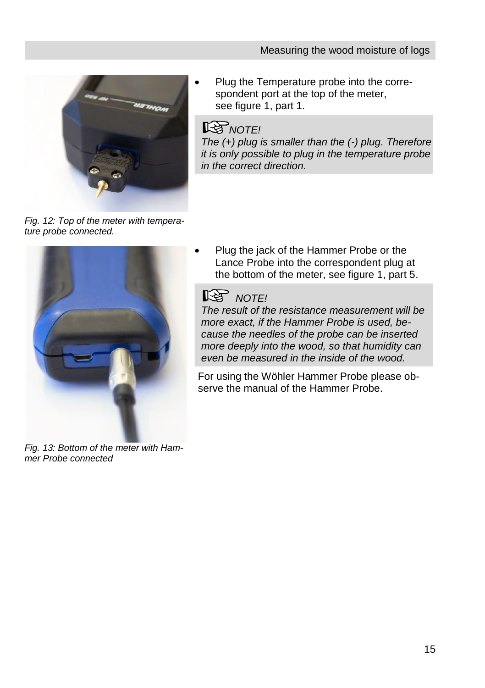

 Plug the Temperature probe into the correspondent port at the top of the meter, see figure 1, part 1.

# **ISS** NOTE!

*The (+) plug is smaller than the (-) plug. Therefore it is only possible to plug in the temperature probe in the correct direction.*

*Fig. 12: Top of the meter with temperature probe connected.* 

![](_page_14_Picture_6.jpeg)

*Fig. 13: Bottom of the meter with Hammer Probe connected*

 Plug the jack of the Hammer Probe or the Lance Probe into the correspondent plug at the bottom of the meter, see figure 1, part 5.

# **NOTE!**

*The result of the resistance measurement will be more exact, if the Hammer Probe is used, because the needles of the probe can be inserted more deeply into the wood, so that humidity can even be measured in the inside of the wood.*

For using the Wöhler Hammer Probe please observe the manual of the Hammer Probe.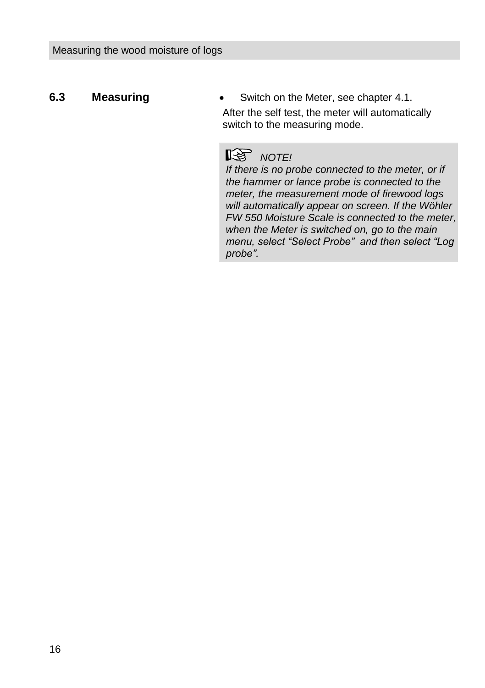<span id="page-15-0"></span>**6.3 Measuring •** Switch on the Meter, see chapter [4.1.](#page-9-1) After the self test, the meter will automatically switch to the measuring mode.

# **NOTE!**

*If there is no probe connected to the meter, or if the hammer or lance probe is connected to the meter, the measurement mode of firewood logs will automatically appear on screen. If the Wöhler FW 550 Moisture Scale is connected to the meter, when the Meter is switched on, go to the main menu, select "Select Probe" and then select "Log probe".*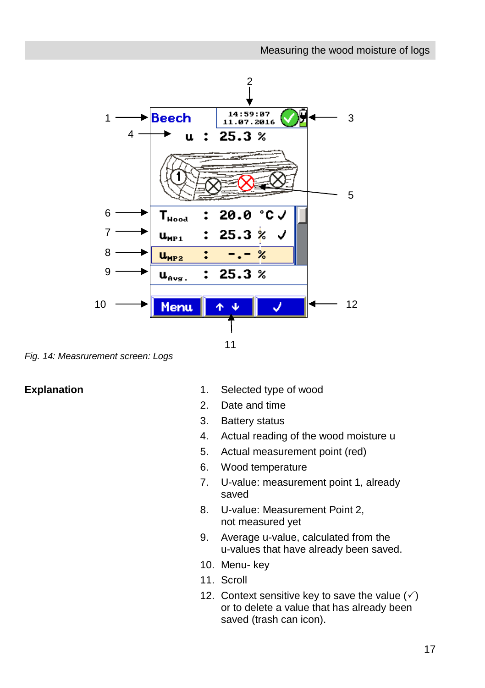![](_page_16_Figure_1.jpeg)

*Fig. 14: Measrurement screen: Logs*

- **Explanation** 1. Selected type of wood
	- 2. Date and time
	- 3. Battery status
	- 4. Actual reading of the wood moisture u
	- 5. Actual measurement point (red)
	- 6. Wood temperature
	- 7. U-value: measurement point 1, already saved
	- 8. U-value: Measurement Point 2, not measured yet
	- 9. Average u-value, calculated from the u-values that have already been saved.
	- 10. Menu- key
	- 11. Scroll
	- 12. Context sensitive key to save the value  $(\check{\phantom{a}})$ or to delete a value that has already been saved (trash can icon).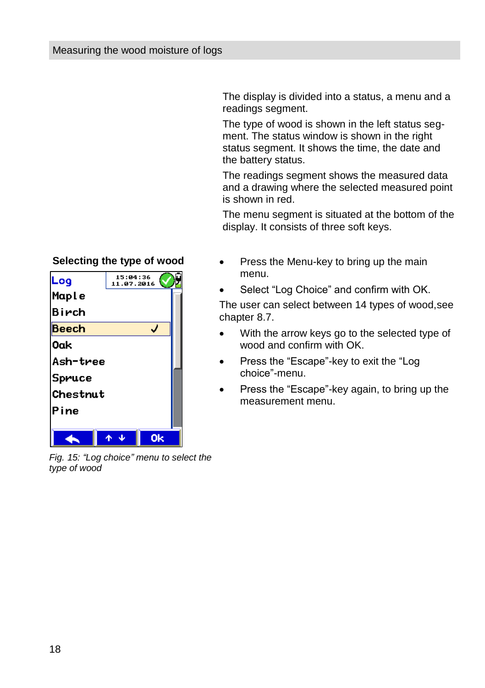The display is divided into a status, a menu and a readings segment.

The type of wood is shown in the left status segment. The status window is shown in the right status segment. It shows the time, the date and the battery status.

The readings segment shows the measured data and a drawing where the selected measured point is shown in red.

The menu segment is situated at the bottom of the display. It consists of three soft keys.

- Press the Menu-key to bring up the main menu.
- Select "Log Choice" and confirm with OK.

The user can select between 14 types of wood,see chapter [8.7.](#page-32-1)

- With the arrow keys go to the selected type of wood and confirm with OK.
- Press the "Escape"-key to exit the "Log choice"-menu.
- Press the "Escape"-key again, to bring up the measurement menu.

![](_page_17_Picture_11.jpeg)

*Fig. 15: "Log choice" menu to select the type of wood*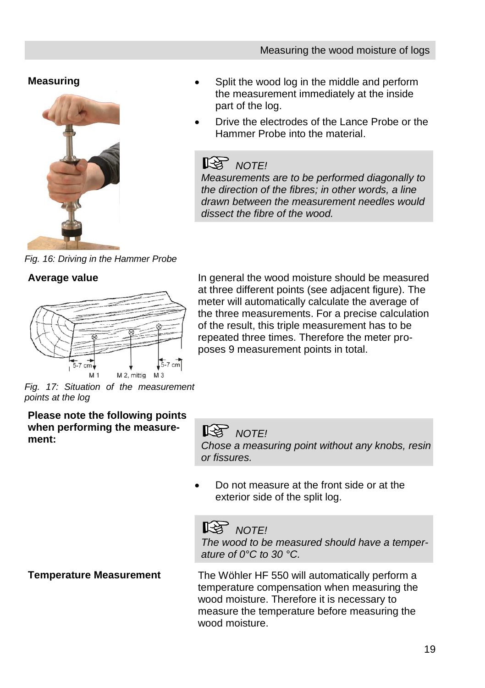## **Measuring**

![](_page_18_Picture_2.jpeg)

- Split the wood log in the middle and perform the measurement immediately at the inside part of the log.
- Drive the electrodes of the Lance Probe or the Hammer Probe into the material.

# **NOTE!**

*Measurements are to be performed diagonally to the direction of the fibres; in other words, a line drawn between the measurement needles would dissect the fibre of the wood.*

*Fig. 16: Driving in the Hammer Probe*

### **Average value**

![](_page_18_Figure_9.jpeg)

In general the wood moisture should be measured at three different points (see adjacent figure). The meter will automatically calculate the average of the three measurements. For a precise calculation of the result, this triple measurement has to be repeated three times. Therefore the meter proposes 9 measurement points in total.

*Fig. 17: Situation of the measurement points at the log*

**Please note the following points when performing the measure**when performing the measure-<br>ment:<br>**ment:** 

*Chose a measuring point without any knobs, resin or fissures.*

 Do not measure at the front side or at the exterior side of the split log.

# *NOTE!*

*The wood to be measured should have a temperature of 0°C to 30 °C.*

**Temperature Measurement** The Wöhler HF 550 will automatically perform a temperature compensation when measuring the wood moisture. Therefore it is necessary to measure the temperature before measuring the wood moisture.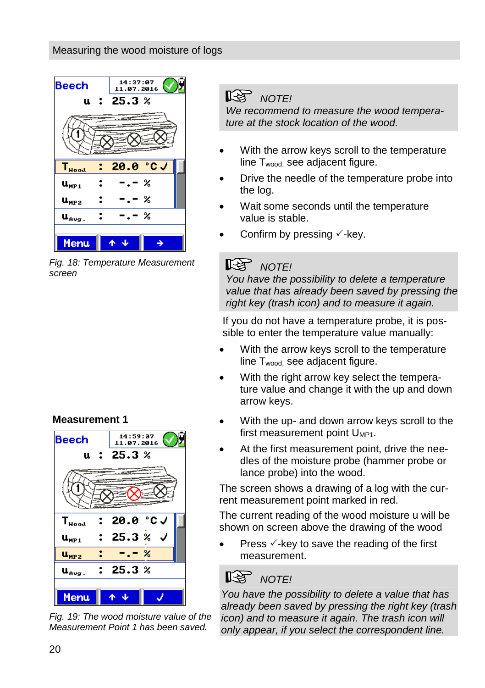#### Measuring the wood moisture of logs

![](_page_19_Picture_1.jpeg)

*Fig. 18: Temperature Measurement screen*

#### **Measurement 1**

![](_page_19_Figure_4.jpeg)

*Fig. 19: The wood moisture value of the Measurement Point 1 has been saved.*

# **NOTE!**

*We recommend to measure the wood temperature at the stock location of the wood.*

- With the arrow keys scroll to the temperature line  $T_{wood}$  see adjacent figure.
- Drive the needle of the temperature probe into the log.
- Wait some seconds until the temperature value is stable.
- Confirm by pressing  $\checkmark$ -key.

#### LQ 1 *NOTE!*

*You have the possibility to delete a temperature value that has already been saved by pressing the right key (trash icon) and to measure it again.*

If you do not have a temperature probe, it is possible to enter the temperature value manually:

- With the arrow keys scroll to the temperature line  $T_{wood}$  see adjacent figure.
- With the right arrow key select the temperature value and change it with the up and down arrow keys.
- With the up- and down arrow keys scroll to the first measurement point U<sub>MP1</sub>.
- At the first measurement point, drive the needles of the moisture probe (hammer probe or lance probe) into the wood.

The screen shows a drawing of a log with the current measurement point marked in red.

The current reading of the wood moisture u will be shown on screen above the drawing of the wood

Press  $\checkmark$ -key to save the reading of the first measurement.

# *NOTE!*

*You have the possibility to delete a value that has already been saved by pressing the right key (trash icon) and to measure it again. The trash icon will only appear, if you select the correspondent line.*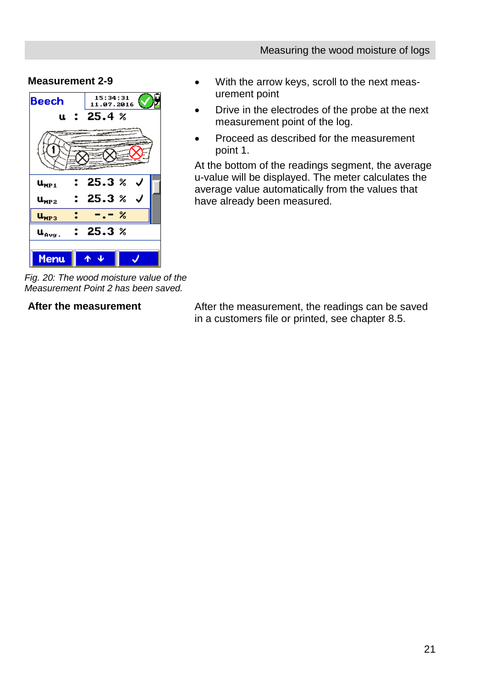#### **Measurement 2-9**

![](_page_20_Figure_2.jpeg)

*Fig. 20: The wood moisture value of the Measurement Point 2 has been saved.*

 With the arrow keys, scroll to the next measurement point

- Drive in the electrodes of the probe at the next measurement point of the log.
- Proceed as described for the measurement point 1.

At the bottom of the readings segment, the average u-value will be displayed. The meter calculates the average value automatically from the values that have already been measured.

**After the measurement** After the measurement, the readings can be saved in a customers file or printed, see chapter [8.5.](#page-31-0)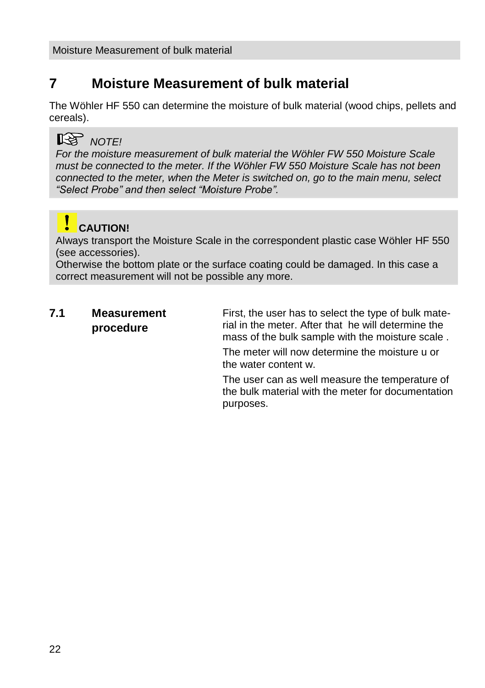# <span id="page-21-0"></span>**7 Moisture Measurement of bulk material**

The Wöhler HF 550 can determine the moisture of bulk material (wood chips, pellets and cereals).

## *NOTE!*

*For the moisture measurement of bulk material the Wöhler FW 550 Moisture Scale must be connected to the meter. If the Wöhler FW 550 Moisture Scale has not been connected to the meter, when the Meter is switched on, go to the main menu, select "Select Probe" and then select "Moisture Probe".*

# **CAUTION!**

Always transport the Moisture Scale in the correspondent plastic case Wöhler HF 550 (see accessories).

Otherwise the bottom plate or the surface coating could be damaged. In this case a correct measurement will not be possible any more.

#### <span id="page-21-1"></span>**7.1 Measurement procedure**

First, the user has to select the type of bulk material in the meter. After that he will determine the mass of the bulk sample with the moisture scale .

The meter will now determine the moisture u or the water content w.

The user can as well measure the temperature of the bulk material with the meter for documentation purposes.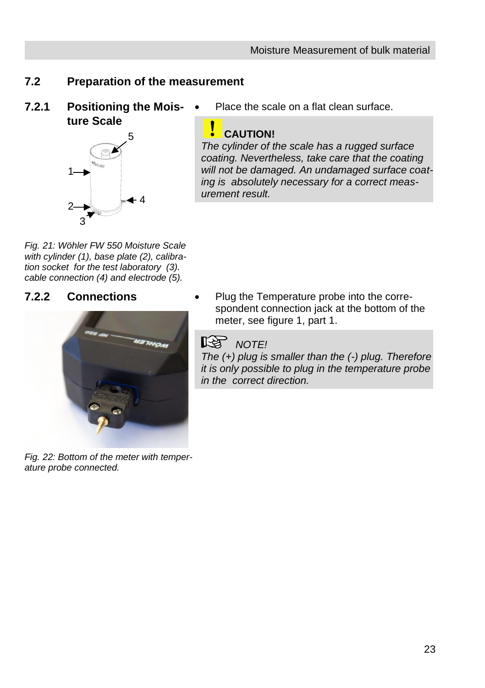# <span id="page-22-0"></span>**7.2 Preparation of the measurement**

<span id="page-22-1"></span>**7.2.1 Positioning the Moisture Scale**

![](_page_22_Picture_3.jpeg)

Place the scale on a flat clean surface.

### **CAUTION!**

*The cylinder of the scale has a rugged surface coating. Nevertheless, take care that the coating will not be damaged. An undamaged surface coating is absolutely necessary for a correct measurement result.* 

*Fig. 21: Wöhler FW 550 Moisture Scale with cylinder (1), base plate (2), calibration socket for the test laboratory (3). cable connection (4) and electrode (5).*

#### <span id="page-22-2"></span>**7.2.2 Connections**

![](_page_22_Picture_9.jpeg)

*Fig. 22: Bottom of the meter with temperature probe connected.* 

 Plug the Temperature probe into the correspondent connection jack at the bottom of the meter, see figure 1, part 1.

# **NOTE!**

*The (+) plug is smaller than the (-) plug. Therefore it is only possible to plug in the temperature probe in the correct direction.*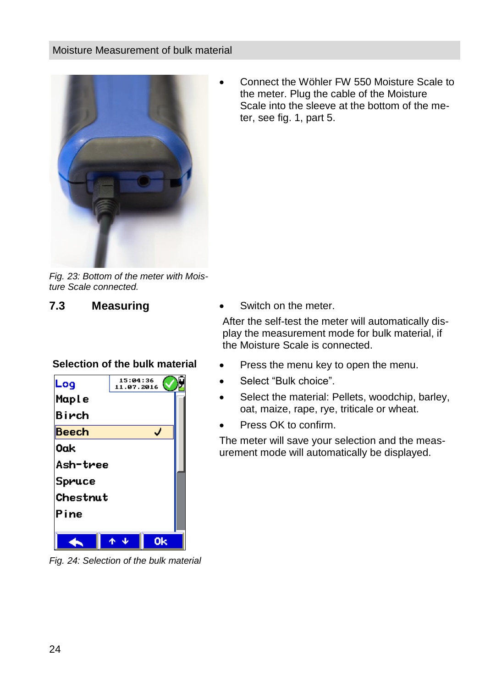#### Moisture Measurement of bulk material

![](_page_23_Picture_1.jpeg)

*Fig. 23: Bottom of the meter with Moisture Scale connected.* 

**Selection of the bulk material**

| Log          | 15:04:36<br>11.07.2016 |  |
|--------------|------------------------|--|
| Maple        |                        |  |
| Birch        |                        |  |
| <b>Beech</b> |                        |  |
| 0ak          |                        |  |
| Ash-tree     |                        |  |
| Spruce       |                        |  |
| Chestnut     |                        |  |
| Pine         |                        |  |
|              |                        |  |
|              |                        |  |

*Fig. 24: Selection of the bulk material*

 Connect the Wöhler FW 550 Moisture Scale to the meter. Plug the cable of the Moisture Scale into the sleeve at the bottom of the meter, see fig. 1, part 5.

<span id="page-23-0"></span>**7.3 Measuring CE CE** Switch on the meter.

After the self-test the meter will automatically display the measurement mode for bulk material, if the Moisture Scale is connected.

- Press the menu key to open the menu.
- Select "Bulk choice".
- Select the material: Pellets, woodchip, barley, oat, maize, rape, rye, triticale or wheat.
- Press OK to confirm.

The meter will save your selection and the measurement mode will automatically be displayed.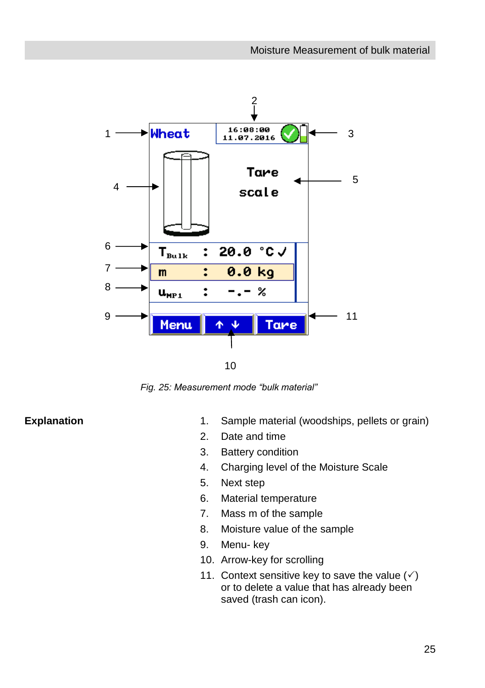![](_page_24_Figure_1.jpeg)

 $1<sub>0</sub>$ 

*Fig. 25: Measurement mode "bulk material"* 0

- **Explanation** 1. Sample material (woodships, pellets or grain)
	- 2. Date and time
	- 3. Battery condition
	- 4. Charging level of the Moisture Scale
	- 5. Next step
	- 6. Material temperature
	- 7. Mass m of the sample
	- 8. Moisture value of the sample
	- 9. Menu- key
	- 10. Arrow-key for scrolling
	- 11. Context sensitive key to save the value  $(\check{\phantom{a}})$ or to delete a value that has already been saved (trash can icon).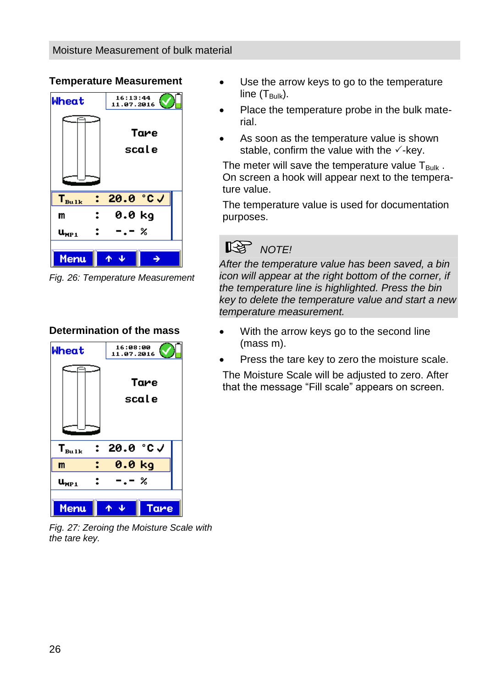#### Moisture Measurement of bulk material

#### **Temperature Measurement**

![](_page_25_Figure_2.jpeg)

*Fig. 26: Temperature Measurement*

#### **Determination of the mass**

![](_page_25_Figure_5.jpeg)

*Fig. 27: Zeroing the Moisture Scale with the tare key.* 

- Use the arrow keys to go to the temperature line  $(T_{\text{Bulk}})$ .
- Place the temperature probe in the bulk material.
- As soon as the temperature value is shown stable, confirm the value with the  $\checkmark$ -key.

The meter will save the temperature value  $T_{\text{Bulk}}$ . On screen a hook will appear next to the temperature value.

The temperature value is used for documentation purposes.

![](_page_25_Picture_12.jpeg)

*After the temperature value has been saved, a bin icon will appear at the right bottom of the corner, if the temperature line is highlighted. Press the bin key to delete the temperature value and start a new temperature measurement.* 

- With the arrow keys go to the second line (mass m).
- Press the tare key to zero the moisture scale.

The Moisture Scale will be adjusted to zero. After that the message "Fill scale" appears on screen.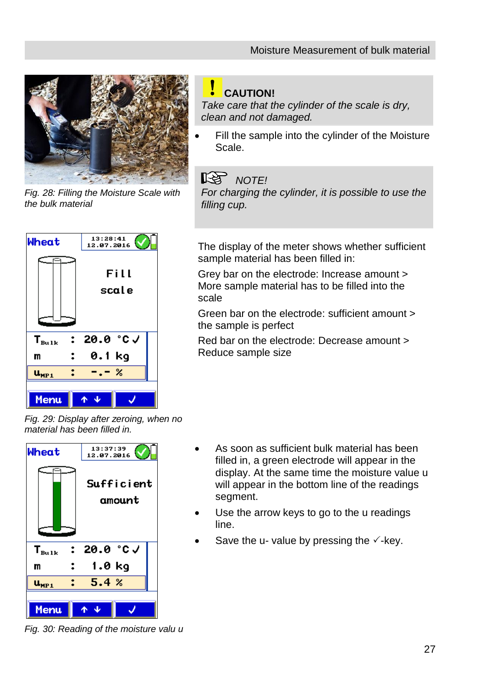![](_page_26_Picture_1.jpeg)

*Fig. 28: Filling the Moisture Scale with the bulk material*

![](_page_26_Figure_3.jpeg)

# **CAUTION!**

*Take care that the cylinder of the scale is dry, clean and not damaged.*

 Fill the sample into the cylinder of the Moisture Scale.

# **NOTE!**

*For charging the cylinder, it is possible to use the filling cup.*

The display of the meter shows whether sufficient sample material has been filled in:

Grey bar on the electrode: Increase amount > More sample material has to be filled into the scale

Green bar on the electrode: sufficient amount > the sample is perfect

Red bar on the electrode: Decrease amount > Reduce sample size

*Fig. 29: Display after zeroing, when no material has been filled in.*

![](_page_26_Figure_14.jpeg)

- As soon as sufficient bulk material has been filled in, a green electrode will appear in the display. At the same time the moisture value u will appear in the bottom line of the readings segment.
- Use the arrow keys to go to the u readings line.
- Save the u- value by pressing the  $\checkmark$ -key.

*Fig. 30: Reading of the moisture valu u*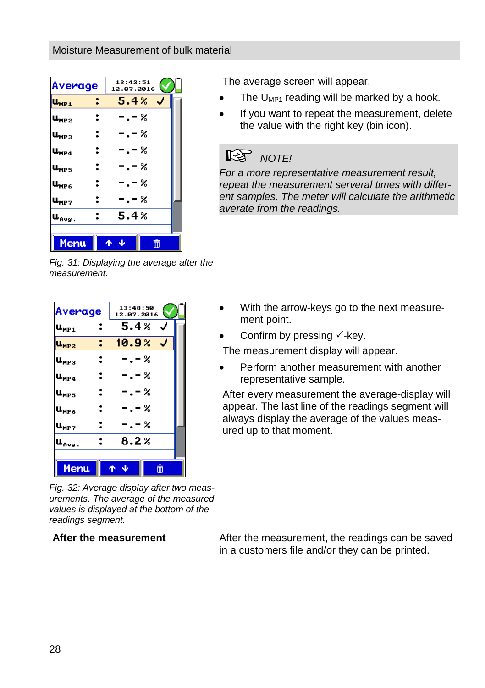| Average                                                | 13:42:51<br>12.07.2016 |
|--------------------------------------------------------|------------------------|
| $\mathbf{u}_{\texttt{MP1}}$                            | 5.4%                   |
| $\mathbf{u}_{\texttt{MP2}}$<br>፡                       | -.-%                   |
| :<br>$\mathbf{u}_\mathtt{MP3}$                         | -.-%                   |
| :<br>$\mathsf{u}_\mathtt{MP4}$                         | - . – %                |
| :<br>u <sub>mp5</sub>                                  | -.-%                   |
| :<br>$\mathbf{u}_{\texttt{MP6}}$                       | - . – %                |
| U <sub>MP 7</sub><br>2                                 | - . – %                |
| $\mathbf{u}_{\mathbf{A} \mathbf{v} \mathbf{g}}$ .<br>∶ | 5.4%                   |
|                                                        |                        |
| <b>Menu</b>                                            | 而<br>^                 |

*Fig. 31: Displaying the average after the measurement.* 

| Average                          | 13:48:50<br>12.07.2016 |  |
|----------------------------------|------------------------|--|
| $\mathbf{u}_{\texttt{MP1}}$      | 5.4%<br>J              |  |
| $\mathbf{u_{MP2}}$               | 10.9%                  |  |
| $\mathbf{u}_{\texttt{MP3}}$      | -.-%                   |  |
| $\mathsf{u}_{\mathsf{MP4}}$      | - . – %                |  |
| 2<br>$\mathbf{u}_{\texttt{MP5}}$ | -.-%                   |  |
| $\mathbf{u}_{\texttt{MP6}}$      | - . - %                |  |
| :<br>Ա <sub>МР 7</sub>           | -.-%                   |  |
| $\mathbf{u}_{\mathbf{avg}}$ .    | 8.2%                   |  |
|                                  |                        |  |
| Menu                             | 而                      |  |

*Fig. 32: Average display after two measurements. The average of the measured values is displayed at the bottom of the readings segment.*

The average screen will appear.

- The  $U_{MP1}$  reading will be marked by a hook.
- If you want to repeat the measurement, delete the value with the right key (bin icon).

# **NOTE!**

*For a more representative measurement result, repeat the measurement serveral times with different samples. The meter will calculate the arithmetic averate from the readings.*

- With the arrow-keys go to the next measurement point.
- Confirm by pressing  $\checkmark$ -key.

The measurement display will appear.

 Perform another measurement with another representative sample.

After every measurement the average-display will appear. The last line of the readings segment will always display the average of the values measured up to that moment.

**After the measurement** After the measurement, the readings can be saved in a customers file and/or they can be printed.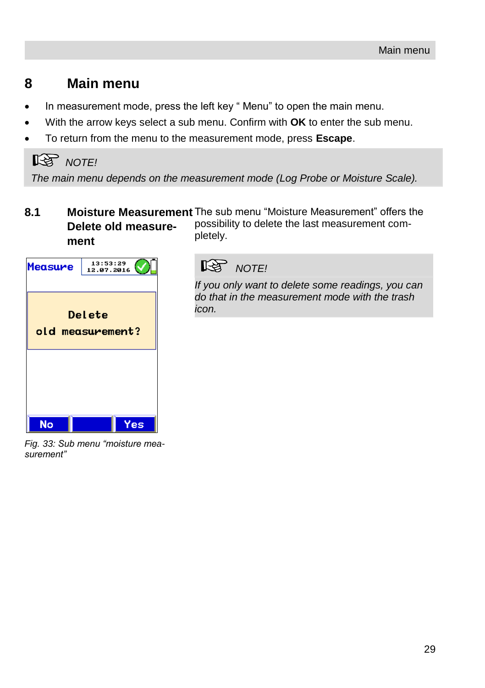# <span id="page-28-0"></span>**8 Main menu**

- In measurement mode, press the left key " Menu" to open the main menu.
- With the arrow keys select a sub menu. Confirm with **OK** to enter the sub menu.
- To return from the menu to the measurement mode, press **Escape**.

# **NOTE!**

*The main menu depends on the measurement mode (Log Probe or Moisture Scale).* 

<span id="page-28-1"></span>**8.1 Moisture Measurement**  The sub menu "Moisture Measurement" offers the **Delete old measurement** possibility to delete the last measurement completely.

![](_page_28_Picture_8.jpeg)

*Fig. 33: Sub menu "moisture measurement"* 

# **NOTE!**

*If you only want to delete some readings, you can do that in the measurement mode with the trash icon.*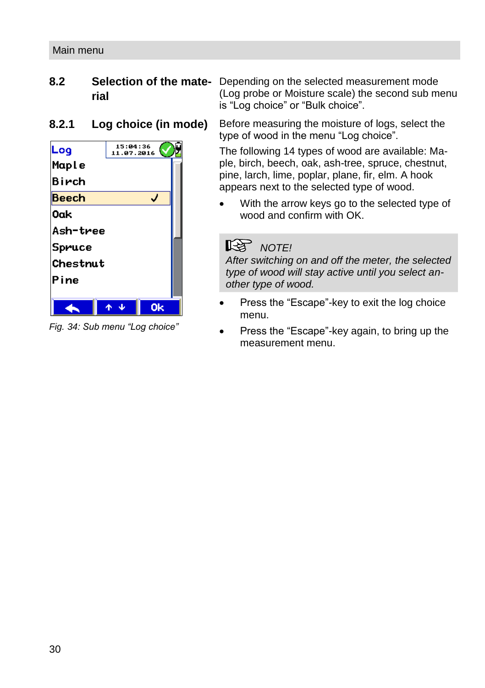# <span id="page-29-0"></span>**rial**

#### <span id="page-29-1"></span>**8.2.1 Log choice (in mode)**

| Maple        |    |
|--------------|----|
| Birch        |    |
| <b>Beech</b> |    |
| 0ak          |    |
| Ash-tree     |    |
| Spruce       |    |
| Chestnut     |    |
| Pine         |    |
|              |    |
|              | Ωk |

*Fig. 34: Sub menu "Log choice"*

**8.2 Selection of the mate-**Depending on the selected measurement mode (Log probe or Moisture scale) the second sub menu is "Log choice" or "Bulk choice".

> Before measuring the moisture of logs, select the type of wood in the menu "Log choice".

The following 14 types of wood are available: Maple, birch, beech, oak, ash-tree, spruce, chestnut, pine, larch, lime, poplar, plane, fir, elm. A hook appears next to the selected type of wood.

 With the arrow keys go to the selected type of wood and confirm with OK.

# *NOTE!*

*After switching on and off the meter, the selected type of wood will stay active until you select another type of wood.* 

- Press the "Escape"-key to exit the log choice menu.
- Press the "Escape"-key again, to bring up the measurement menu.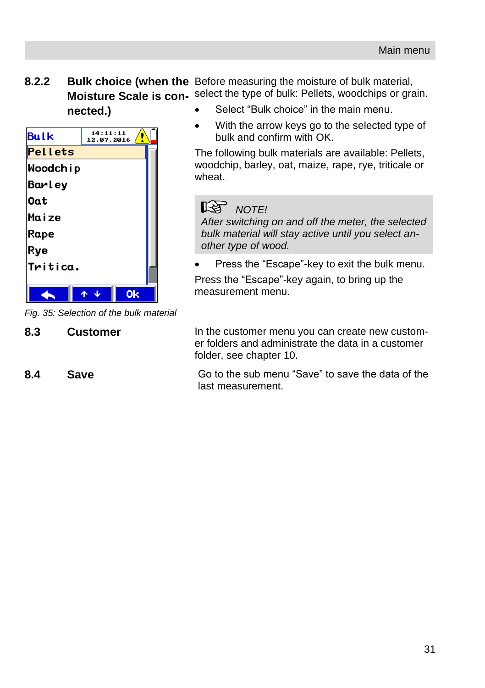<span id="page-30-0"></span>**8.2.2 Bulk choice (when the**  Before measuring the moisture of bulk material, **Moisture Scale is con-** select the type of bulk: Pellets, woodchips or grain. **nected.)**

![](_page_30_Picture_2.jpeg)

*Fig. 35: Selection of the bulk material*

Select "Bulk choice" in the main menu.

 With the arrow keys go to the selected type of bulk and confirm with OK.

The following bulk materials are available: Pellets, woodchip, barley, oat, maize, rape, rye, triticale or wheat.

# *NOTE!*

*After switching on and off the meter, the selected bulk material will stay active until you select another type of wood.* 

Press the "Escape"-key to exit the bulk menu.

Press the "Escape"-key again, to bring up the measurement menu.

<span id="page-30-1"></span>**8.3 Customer** In the customer menu you can create new customer folders and administrate the data in a customer folder, see chapter 10.

<span id="page-30-2"></span>**8.4 Save** Go to the sub menu "Save" to save the data of the last measurement.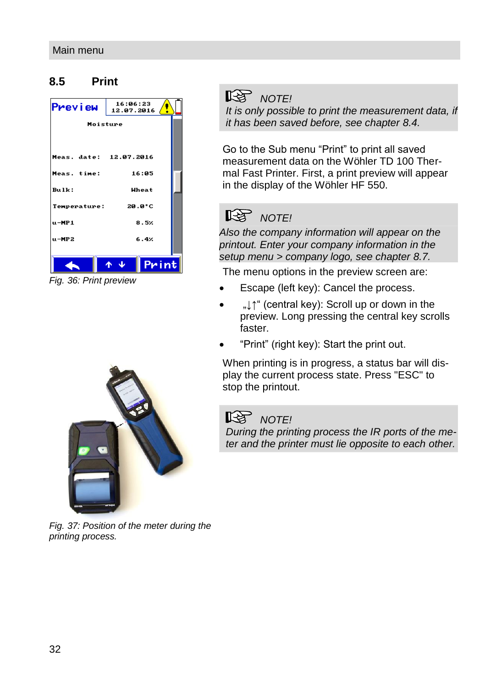### <span id="page-31-0"></span>**8.5 Print**

| <b>Preview</b>         | 16:06:23<br>12.07.2016 |  |
|------------------------|------------------------|--|
| Moisture               |                        |  |
|                        |                        |  |
| Meas. date: 12.07.2016 |                        |  |
| Meas. time:            | 16:05                  |  |
| $Bulk$ :               | Wheat                  |  |
| Temperature:           | 20.0°C                 |  |
| $u - MP1$              | 8.5%                   |  |
| $u - MP2$              | 6.4%                   |  |
|                        | Print<br>-J.           |  |

*Fig. 36: Print preview*

![](_page_31_Picture_4.jpeg)

*Fig. 37: Position of the meter during the printing process.*

# **NOTE!**

*It is only possible to print the measurement data, if it has been saved before, see chapte[r 8.4.](#page-30-2)* 

Go to the Sub menu "Print" to print all saved measurement data on the Wöhler TD 100 Thermal Fast Printer. First, a print preview will appear in the display of the Wöhler HF 550.

# **NOTE!**

*Also the company information will appear on the printout. Enter your company information in the setup menu > company logo, see chapte[r 8.7.](#page-32-1)*

The menu options in the preview screen are:

- Escape (left key): Cancel the process.
- . It" (central key): Scroll up or down in the preview. Long pressing the central key scrolls faster.
- "Print" (right key): Start the print out.

When printing is in progress, a status bar will display the current process state. Press "ESC" to stop the printout.

# **NOTE!**

*During the printing process the IR ports of the meter and the printer must lie opposite to each other.*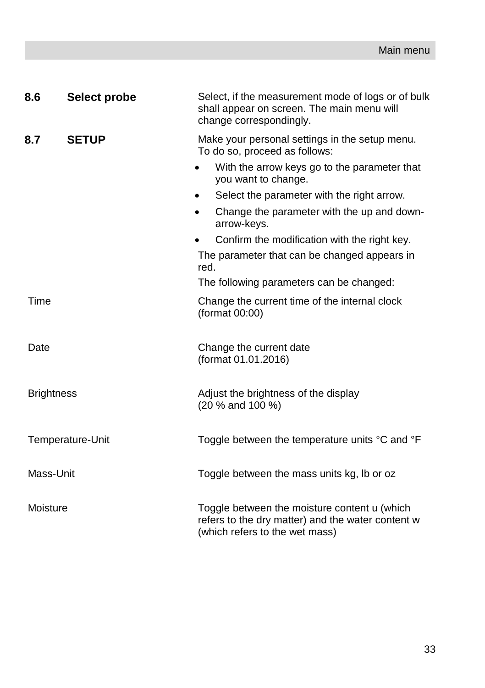<span id="page-32-1"></span><span id="page-32-0"></span>

| 8.6               | Select probe     | Select, if the measurement mode of logs or of bulk<br>shall appear on screen. The main menu will<br>change correspondingly.         |
|-------------------|------------------|-------------------------------------------------------------------------------------------------------------------------------------|
| 8.7               | <b>SETUP</b>     | Make your personal settings in the setup menu.<br>To do so, proceed as follows:                                                     |
|                   |                  | With the arrow keys go to the parameter that<br>you want to change.                                                                 |
|                   |                  | Select the parameter with the right arrow.<br>٠                                                                                     |
|                   |                  | Change the parameter with the up and down-<br>$\bullet$<br>arrow-keys.                                                              |
|                   |                  | Confirm the modification with the right key.                                                                                        |
|                   |                  | The parameter that can be changed appears in<br>red.                                                                                |
|                   |                  | The following parameters can be changed:                                                                                            |
| Time              |                  | Change the current time of the internal clock<br>(format 00:00)                                                                     |
| Date              |                  | Change the current date<br>(format 01.01.2016)                                                                                      |
| <b>Brightness</b> |                  | Adjust the brightness of the display<br>(20 % and 100 %)                                                                            |
|                   | Temperature-Unit | Toggle between the temperature units °C and °F                                                                                      |
| Mass-Unit         |                  | Toggle between the mass units kg, lb or oz                                                                                          |
| Moisture          |                  | Toggle between the moisture content u (which<br>refers to the dry matter) and the water content w<br>(which refers to the wet mass) |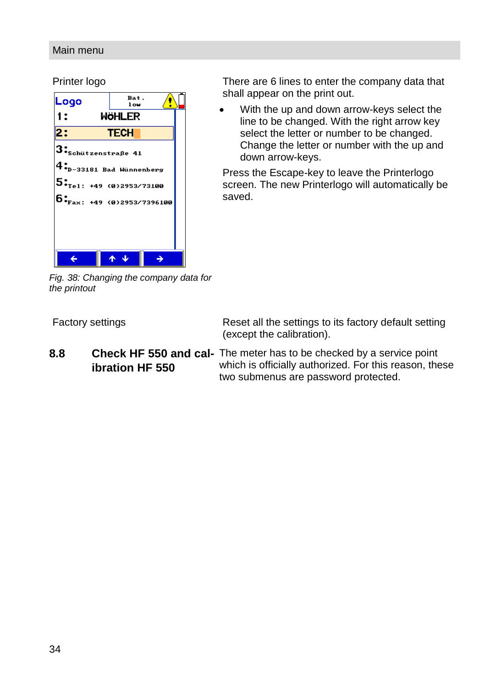#### Main menu

Printer logo

| Logo                                                                                                   | Bat.<br>1 ow  |  |
|--------------------------------------------------------------------------------------------------------|---------------|--|
| 1:                                                                                                     | <b>WÖHLER</b> |  |
| 2:                                                                                                     | <b>TECH</b>   |  |
| $\mathbf{3:}_{\text{Schützenstrage 41}}$                                                               |               |  |
| $\boldsymbol{4}_{\boldsymbol{\cdot}\boldsymbol{\mathrm{p}}-33181}^{\boldsymbol{\cdot}}$ Bad Wünnenberg |               |  |
| ${\bf 5:}_{_{\rm Tel:~+49~(0)2953/73100}}$                                                             |               |  |
| $6:_{\text{Fax}:+49}$ (0)2953/7396100                                                                  |               |  |
|                                                                                                        |               |  |
|                                                                                                        |               |  |
|                                                                                                        |               |  |
|                                                                                                        |               |  |

There are 6 lines to enter the company data that shall appear on the print out.

 With the up and down arrow-keys select the line to be changed. With the right arrow key select the letter or number to be changed. Change the letter or number with the up and down arrow-keys.

Press the Escape-key to leave the Printerlogo screen. The new Printerlogo will automatically be saved.

*Fig. 38: Changing the company data for the printout*

Factory settings **Reset all the settings to its factory default setting** (except the calibration).

<span id="page-33-0"></span>**8.8 Check HF 550 and cal-**The meter has to be checked by a service point **ibration HF 550** which is officially authorized. For this reason, these two submenus are password protected.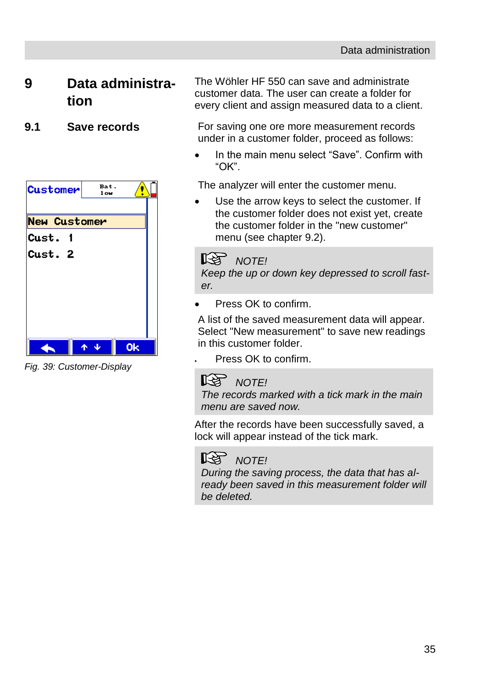# <span id="page-34-0"></span>**9 Data administration**

![](_page_34_Picture_3.jpeg)

*Fig. 39: Customer-Display*

The Wöhler HF 550 can save and administrate customer data. The user can create a folder for every client and assign measured data to a client.

<span id="page-34-1"></span>**9.1 Save records** For saving one ore more measurement records under in a customer folder, proceed as follows:

> In the main menu select "Save". Confirm with "OK".

The analyzer will enter the customer menu.

 Use the arrow keys to select the customer. If the customer folder does not exist yet, create the customer folder in the "new customer" menu (see chapter [9.2\)](#page-35-0).

# **NOTE!**

*Keep the up or down key depressed to scroll faster.*

Press OK to confirm.

A list of the saved measurement data will appear. Select "New measurement" to save new readings in this customer folder.

Press OK to confirm.

# **NOTE!**

*The records marked with a tick mark in the main menu are saved now.*

After the records have been successfully saved, a lock will appear instead of the tick mark.

# **NOTE!**

*During the saving process, the data that has already been saved in this measurement folder will be deleted.*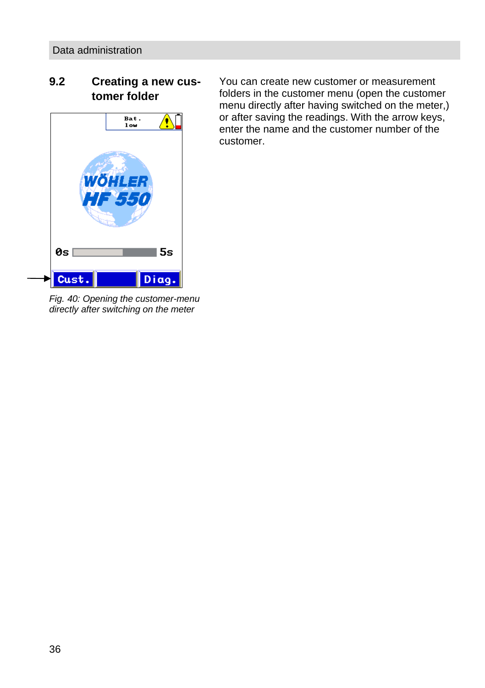## <span id="page-35-0"></span>**9.2 Creating a new customer folder**

![](_page_35_Figure_2.jpeg)

You can create new customer or measurement folders in the customer menu (open the customer menu directly after having switched on the meter,) or after saving the readings. With the arrow keys, enter the name and the customer number of the customer.

*Fig. 40: Opening the customer-menu directly after switching on the meter*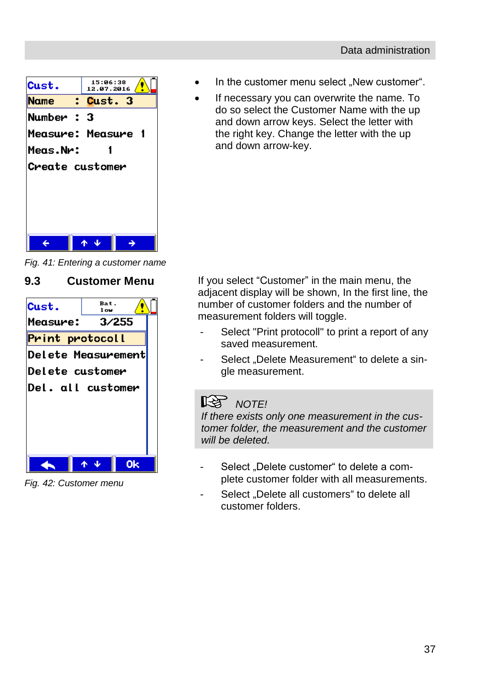![](_page_36_Picture_1.jpeg)

*Fig. 41: Entering a customer name*

### <span id="page-36-0"></span>**9.3 Customer Menu**

![](_page_36_Picture_4.jpeg)

*Fig. 42: Customer menu*

- In the customer menu select "New customer".
- If necessary you can overwrite the name. To do so select the Customer Name with the up and down arrow keys. Select the letter with the right key. Change the letter with the up and down arrow-key.

If you select "Customer" in the main menu, the adjacent display will be shown, In the first line, the number of customer folders and the number of measurement folders will toggle.

- Select "Print protocoll" to print a report of any saved measurement.
- Select ..Delete Measurement" to delete a single measurement.

#### LQS . *NOTE!*

*If there exists only one measurement in the customer folder, the measurement and the customer will be deleted.*

- Select . Delete customer" to delete a complete customer folder with all measurements.
- Select . Delete all customers" to delete all customer folders.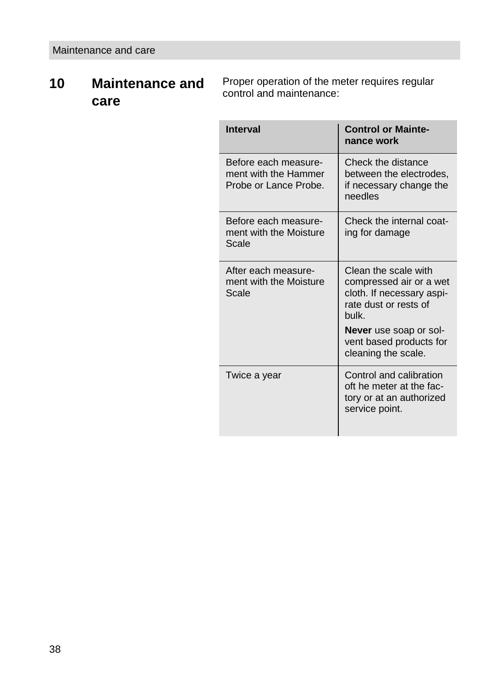# <span id="page-37-0"></span>**10 Maintenance and care**

Proper operation of the meter requires regular control and maintenance:

| <b>Interval</b>                                                       | <b>Control or Mainte-</b><br>nance work                                                                       |
|-----------------------------------------------------------------------|---------------------------------------------------------------------------------------------------------------|
| Before each measure-<br>ment with the Hammer<br>Probe or Lance Probe. | Check the distance<br>between the electrodes.<br>if necessary change the<br>needles                           |
| Before each measure-<br>ment with the Moisture<br>Scale               | Check the internal coat-<br>ing for damage                                                                    |
| After each measure-<br>ment with the Moisture<br>Scale                | Clean the scale with<br>compressed air or a wet<br>cloth. If necessary aspi-<br>rate dust or rests of<br>hulk |
|                                                                       | Never use soap or sol-<br>vent based products for<br>cleaning the scale.                                      |
| Twice a year                                                          | Control and calibration<br>oft he meter at the fac-<br>tory or at an authorized<br>service point.             |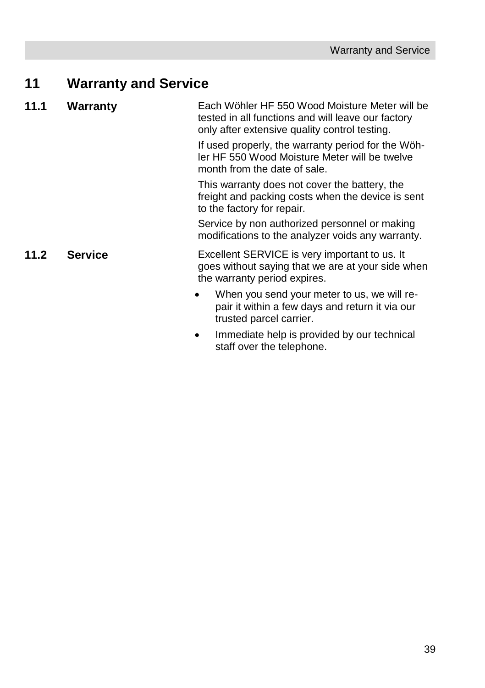# <span id="page-38-0"></span>**11 Warranty and Service**

<span id="page-38-2"></span><span id="page-38-1"></span>

| 11.1 | Warranty       | Each Wöhler HF 550 Wood Moisture Meter will be<br>tested in all functions and will leave our factory<br>only after extensive quality control testing. |
|------|----------------|-------------------------------------------------------------------------------------------------------------------------------------------------------|
|      |                | If used properly, the warranty period for the Wöh-<br>ler HF 550 Wood Moisture Meter will be twelve<br>month from the date of sale.                   |
|      |                | This warranty does not cover the battery, the<br>freight and packing costs when the device is sent<br>to the factory for repair.                      |
|      |                | Service by non authorized personnel or making<br>modifications to the analyzer voids any warranty.                                                    |
| 11.2 | <b>Service</b> | Excellent SERVICE is very important to us. It<br>goes without saying that we are at your side when<br>the warranty period expires.                    |
|      |                | When you send your meter to us, we will re-<br>pair it within a few days and return it via our<br>trusted parcel carrier.                             |
|      |                | Immediate help is provided by our technical<br>staff over the telephone.                                                                              |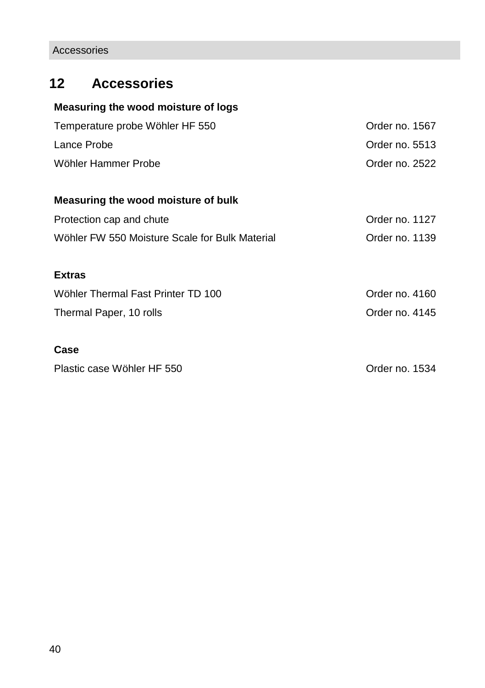# <span id="page-39-0"></span>**12 Accessories**

#### **Measuring the wood moisture of logs**

| Temperature probe Wöhler HF 550 | Order no. 1567 |
|---------------------------------|----------------|
| Lance Probe                     | Order no. 5513 |
| Wöhler Hammer Probe             | Order no. 2522 |

#### **Measuring the wood moisture of bulk**

| Protection cap and chute                       | Order no. 1127 |
|------------------------------------------------|----------------|
| Wöhler FW 550 Moisture Scale for Bulk Material | Order no. 1139 |

#### **Extras**

| Wöhler Thermal Fast Printer TD 100 | Order no. 4160 |
|------------------------------------|----------------|
| Thermal Paper, 10 rolls            | Order no. 4145 |

#### **Case**

Plastic case Wöhler HF 550 **Drawin** Context Context Context Context Order no. 1534